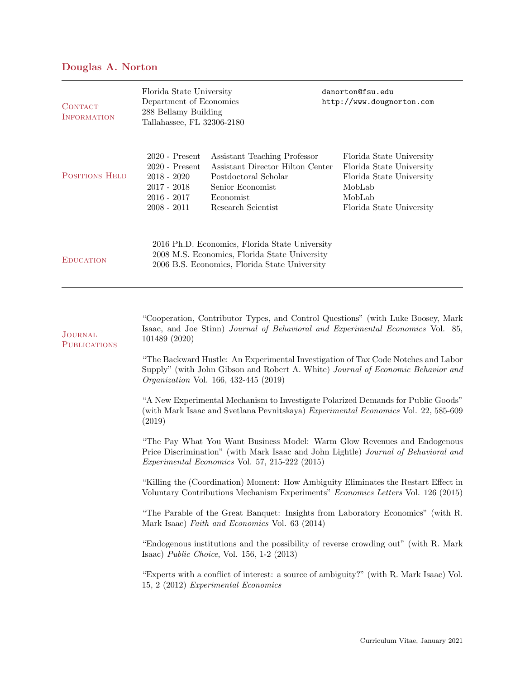## Douglas A. Norton

| <b>CONTACT</b><br><b>INFORMATION</b> | Florida State University<br>Department of Economics<br>288 Bellamy Building<br>Tallahassee, FL 32306-2180                                        |                                                                                                                                                 | danorton@fsu.edu<br>http://www.dougnorton.com                                                                                    |  |
|--------------------------------------|--------------------------------------------------------------------------------------------------------------------------------------------------|-------------------------------------------------------------------------------------------------------------------------------------------------|----------------------------------------------------------------------------------------------------------------------------------|--|
| <b>POSITIONS HELD</b>                | $2020$ - Present<br>$2020$ - Present<br>$2018 - 2020$<br>$2017 - 2018$<br>$2016 - 2017$<br>$2008 - 2011$                                         | Assistant Teaching Professor<br>Assistant Director Hilton Center<br>Postdoctoral Scholar<br>Senior Economist<br>Economist<br>Research Scientist | Florida State University<br>Florida State University<br>Florida State University<br>MobLab<br>MobLab<br>Florida State University |  |
| <b>EDUCATION</b>                     | 2016 Ph.D. Economics, Florida State University<br>2008 M.S. Economics, Florida State University<br>2006 B.S. Economics, Florida State University |                                                                                                                                                 |                                                                                                                                  |  |

| <b>JOURNAL</b><br><b>PUBLICATIONS</b> | "Cooperation, Contributor Types, and Control Questions" (with Luke Boosey, Mark<br>Isaac, and Joe Stinn) Journal of Behavioral and Experimental Economics Vol. 85,<br>101489 (2020)                                     |  |  |
|---------------------------------------|-------------------------------------------------------------------------------------------------------------------------------------------------------------------------------------------------------------------------|--|--|
|                                       | "The Backward Hustle: An Experimental Investigation of Tax Code Notches and Labor<br>Supply" (with John Gibson and Robert A. White) Journal of Economic Behavior and<br><i>Organization Vol.</i> 166, 432-445 (2019)    |  |  |
|                                       | "A New Experimental Mechanism to Investigate Polarized Demands for Public Goods"<br>(with Mark Isaac and Svetlana Pevnitskaya) Experimental Economics Vol. 22, 585-609<br>(2019)                                        |  |  |
|                                       | "The Pay What You Want Business Model: Warm Glow Revenues and Endogenous<br>Price Discrimination" (with Mark Isaac and John Lightle) Journal of Behavioral and<br><i>Experimental Economics Vol.</i> 57, 215-222 (2015) |  |  |
|                                       | "Killing the (Coordination) Moment: How Ambiguity Eliminates the Restart Effect in<br>Voluntary Contributions Mechanism Experiments" Economics Letters Vol. 126 (2015)                                                  |  |  |
|                                       | "The Parable of the Great Banquet: Insights from Laboratory Economics" (with R.<br>Mark Isaac) Faith and Economics Vol. 63 (2014)                                                                                       |  |  |
|                                       | "Endogenous institutions and the possibility of reverse crowding out" (with R. Mark<br>Isaac) Public Choice, Vol. $156, 1-2$ (2013)                                                                                     |  |  |
|                                       | "Experts with a conflict of interest: a source of ambiguity?" (with R. Mark Isaac) Vol.<br>15, 2 (2012) Experimental Economics                                                                                          |  |  |
|                                       |                                                                                                                                                                                                                         |  |  |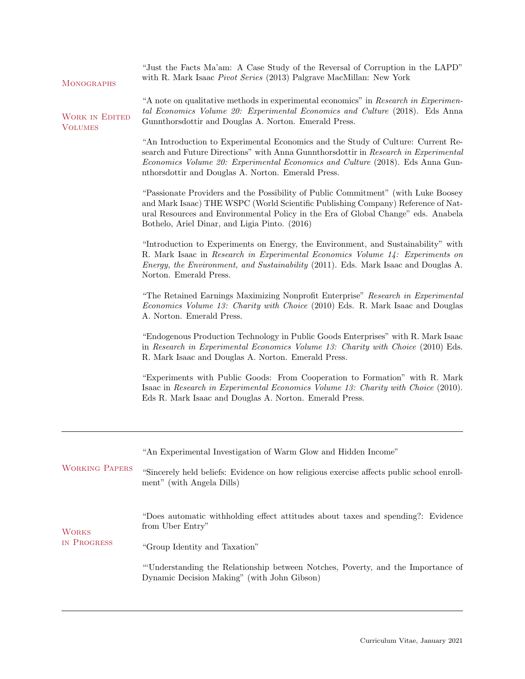| "A note on qualitative methods in experimental economics" in Research in Experimen-<br>tal Economics Volume 20: Experimental Economics and Culture (2018). Eds Anna<br>Gunnthorsdottir and Douglas A. Norton. Emerald Press.                                                                                   |  |  |  |  |
|----------------------------------------------------------------------------------------------------------------------------------------------------------------------------------------------------------------------------------------------------------------------------------------------------------------|--|--|--|--|
| "An Introduction to Experimental Economics and the Study of Culture: Current Re-<br>search and Future Directions" with Anna Gunnthorsdottir in Research in Experimental<br>Economics Volume 20: Experimental Economics and Culture (2018). Eds Anna Gun-<br>nthorsdottir and Douglas A. Norton. Emerald Press. |  |  |  |  |
| "Passionate Providers and the Possibility of Public Commitment" (with Luke Boosey<br>and Mark Isaac) THE WSPC (World Scientific Publishing Company) Reference of Nat-<br>ural Resources and Environmental Policy in the Era of Global Change" eds. Anabela                                                     |  |  |  |  |
| "Introduction to Experiments on Energy, the Environment, and Sustainability" with<br>R. Mark Isaac in Research in Experimental Economics Volume 14: Experiments on<br><i>Energy, the Environment, and Sustainability</i> (2011). Eds. Mark Isaac and Douglas A.                                                |  |  |  |  |
| "The Retained Earnings Maximizing Nonprofit Enterprise" Research in Experimental<br>Economics Volume 13: Charity with Choice (2010) Eds. R. Mark Isaac and Douglas                                                                                                                                             |  |  |  |  |
| "Endogenous Production Technology in Public Goods Enterprises" with R. Mark Isaac<br>in Research in Experimental Economics Volume 13: Charity with Choice (2010) Eds.                                                                                                                                          |  |  |  |  |
| "Experiments with Public Goods: From Cooperation to Formation" with R. Mark<br>Isaac in Research in Experimental Economics Volume 13: Charity with Choice (2010).                                                                                                                                              |  |  |  |  |
|                                                                                                                                                                                                                                                                                                                |  |  |  |  |
|                                                                                                                                                                                                                                                                                                                |  |  |  |  |
| "Sincerely held beliefs: Evidence on how religious exercise affects public school enroll-                                                                                                                                                                                                                      |  |  |  |  |
| "Does automatic withholding effect attitudes about taxes and spending?: Evidence                                                                                                                                                                                                                               |  |  |  |  |
| "Group Identity and Taxation"                                                                                                                                                                                                                                                                                  |  |  |  |  |
| "Understanding the Relationship between Notches, Poverty, and the Importance of<br>Dynamic Decision Making" (with John Gibson)                                                                                                                                                                                 |  |  |  |  |
|                                                                                                                                                                                                                                                                                                                |  |  |  |  |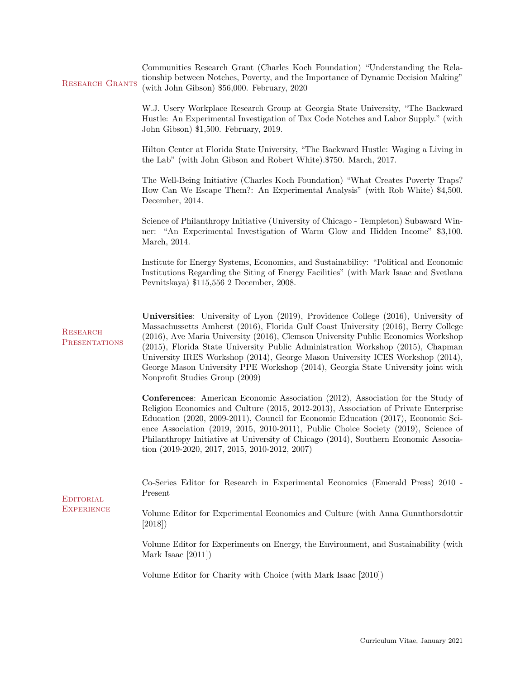| <b>RESEARCH GRANTS</b>                  | Communities Research Grant (Charles Koch Foundation) "Understanding the Rela-<br>tionship between Notches, Poverty, and the Importance of Dynamic Decision Making"<br>(with John Gibson) \$56,000. February, 2020                                                                                                                                                                                                                                                                                                                                       |  |  |  |
|-----------------------------------------|---------------------------------------------------------------------------------------------------------------------------------------------------------------------------------------------------------------------------------------------------------------------------------------------------------------------------------------------------------------------------------------------------------------------------------------------------------------------------------------------------------------------------------------------------------|--|--|--|
|                                         | W.J. Usery Workplace Research Group at Georgia State University, "The Backward<br>Hustle: An Experimental Investigation of Tax Code Notches and Labor Supply." (with<br>John Gibson) \$1,500. February, 2019.                                                                                                                                                                                                                                                                                                                                           |  |  |  |
|                                         | Hilton Center at Florida State University, "The Backward Hustle: Waging a Living in<br>the Lab" (with John Gibson and Robert White).\$750. March, 2017.                                                                                                                                                                                                                                                                                                                                                                                                 |  |  |  |
|                                         | The Well-Being Initiative (Charles Koch Foundation) "What Creates Poverty Traps?<br>How Can We Escape Them?: An Experimental Analysis" (with Rob White) \$4,500.<br>December, 2014.                                                                                                                                                                                                                                                                                                                                                                     |  |  |  |
|                                         | Science of Philanthropy Initiative (University of Chicago - Templeton) Subaward Win-<br>ner: "An Experimental Investigation of Warm Glow and Hidden Income" \$3,100.<br>March, 2014.                                                                                                                                                                                                                                                                                                                                                                    |  |  |  |
|                                         | Institute for Energy Systems, Economics, and Sustainability: "Political and Economic<br>Institutions Regarding the Siting of Energy Facilities" (with Mark Isaac and Svetlana<br>Pevnitskaya) \$115,556 2 December, 2008.                                                                                                                                                                                                                                                                                                                               |  |  |  |
| <b>RESEARCH</b><br><b>PRESENTATIONS</b> | Universities: University of Lyon (2019), Providence College (2016), University of<br>Massachussetts Amherst (2016), Florida Gulf Coast University (2016), Berry College<br>(2016), Ave Maria University (2016), Clemson University Public Economics Workshop<br>(2015), Florida State University Public Administration Workshop (2015), Chapman<br>University IRES Workshop (2014), George Mason University ICES Workshop (2014),<br>George Mason University PPE Workshop (2014), Georgia State University joint with<br>Nonprofit Studies Group (2009) |  |  |  |
|                                         | <b>Conferences:</b> American Economic Association (2012), Association for the Study of<br>Religion Economics and Culture (2015, 2012-2013), Association of Private Enterprise<br>Education (2020, 2009-2011), Council for Economic Education (2017), Economic Sci-<br>ence Association (2019, 2015, 2010-2011), Public Choice Society (2019), Science of<br>Philanthropy Initiative at University of Chicago (2014), Southern Economic Associa-<br>tion $(2019-2020, 2017, 2015, 2010-2012, 2007)$                                                      |  |  |  |
| <b>EDITORIAL</b><br><b>EXPERIENCE</b>   | Co-Series Editor for Research in Experimental Economics (Emerald Press) 2010 -<br>Present                                                                                                                                                                                                                                                                                                                                                                                                                                                               |  |  |  |
|                                         | Volume Editor for Experimental Economics and Culture (with Anna Gunnthorsdottir<br>[2018]                                                                                                                                                                                                                                                                                                                                                                                                                                                               |  |  |  |
|                                         | Volume Editor for Experiments on Energy, the Environment, and Sustainability (with<br>Mark Isaac [2011])                                                                                                                                                                                                                                                                                                                                                                                                                                                |  |  |  |
|                                         | Volume Editor for Charity with Choice (with Mark Isaac [2010])                                                                                                                                                                                                                                                                                                                                                                                                                                                                                          |  |  |  |